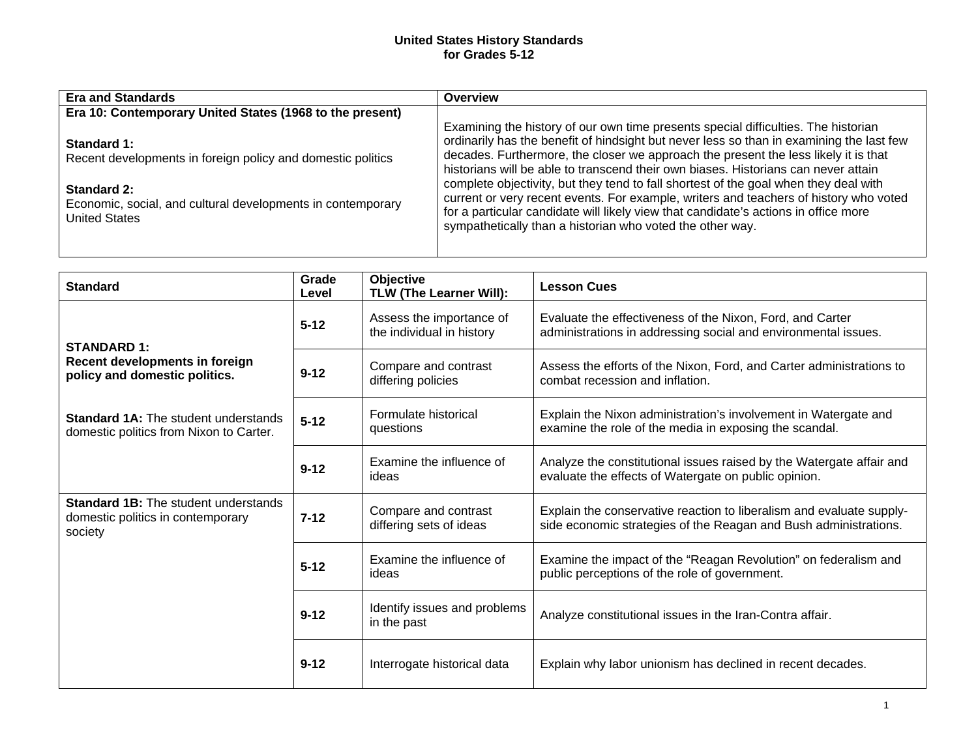## **United States History Standards for Grades 5-12**

| <b>Era and Standards</b>                                                                           | Overview                                                                                                                                                                                                                                                                                                                                                    |
|----------------------------------------------------------------------------------------------------|-------------------------------------------------------------------------------------------------------------------------------------------------------------------------------------------------------------------------------------------------------------------------------------------------------------------------------------------------------------|
| Era 10: Contemporary United States (1968 to the present)                                           |                                                                                                                                                                                                                                                                                                                                                             |
| Standard 1:<br>Recent developments in foreign policy and domestic politics                         | Examining the history of our own time presents special difficulties. The historian<br>ordinarily has the benefit of hindsight but never less so than in examining the last few<br>decades. Furthermore, the closer we approach the present the less likely it is that<br>historians will be able to transcend their own biases. Historians can never attain |
| Standard 2:<br>Economic, social, and cultural developments in contemporary<br><b>United States</b> | complete objectivity, but they tend to fall shortest of the goal when they deal with<br>current or very recent events. For example, writers and teachers of history who voted<br>for a particular candidate will likely view that candidate's actions in office more<br>sympathetically than a historian who voted the other way.                           |

| <b>Standard</b>                                                                             | Grade<br>Level | Objective<br>TLW (The Learner Will):                  | <b>Lesson Cues</b>                                                                                                                       |
|---------------------------------------------------------------------------------------------|----------------|-------------------------------------------------------|------------------------------------------------------------------------------------------------------------------------------------------|
| <b>STANDARD 1:</b>                                                                          | $5 - 12$       | Assess the importance of<br>the individual in history | Evaluate the effectiveness of the Nixon, Ford, and Carter<br>administrations in addressing social and environmental issues.              |
| Recent developments in foreign<br>policy and domestic politics.                             | $9 - 12$       | Compare and contrast<br>differing policies            | Assess the efforts of the Nixon, Ford, and Carter administrations to<br>combat recession and inflation.                                  |
| <b>Standard 1A:</b> The student understands<br>domestic politics from Nixon to Carter.      | $5 - 12$       | Formulate historical<br>questions                     | Explain the Nixon administration's involvement in Watergate and<br>examine the role of the media in exposing the scandal.                |
|                                                                                             | $9 - 12$       | Examine the influence of<br>ideas                     | Analyze the constitutional issues raised by the Watergate affair and<br>evaluate the effects of Watergate on public opinion.             |
| <b>Standard 1B:</b> The student understands<br>domestic politics in contemporary<br>society | $7 - 12$       | Compare and contrast<br>differing sets of ideas       | Explain the conservative reaction to liberalism and evaluate supply-<br>side economic strategies of the Reagan and Bush administrations. |
|                                                                                             | $5 - 12$       | Examine the influence of<br>ideas                     | Examine the impact of the "Reagan Revolution" on federalism and<br>public perceptions of the role of government.                         |
|                                                                                             | $9 - 12$       | Identify issues and problems<br>in the past           | Analyze constitutional issues in the Iran-Contra affair.                                                                                 |
|                                                                                             | $9 - 12$       | Interrogate historical data                           | Explain why labor unionism has declined in recent decades.                                                                               |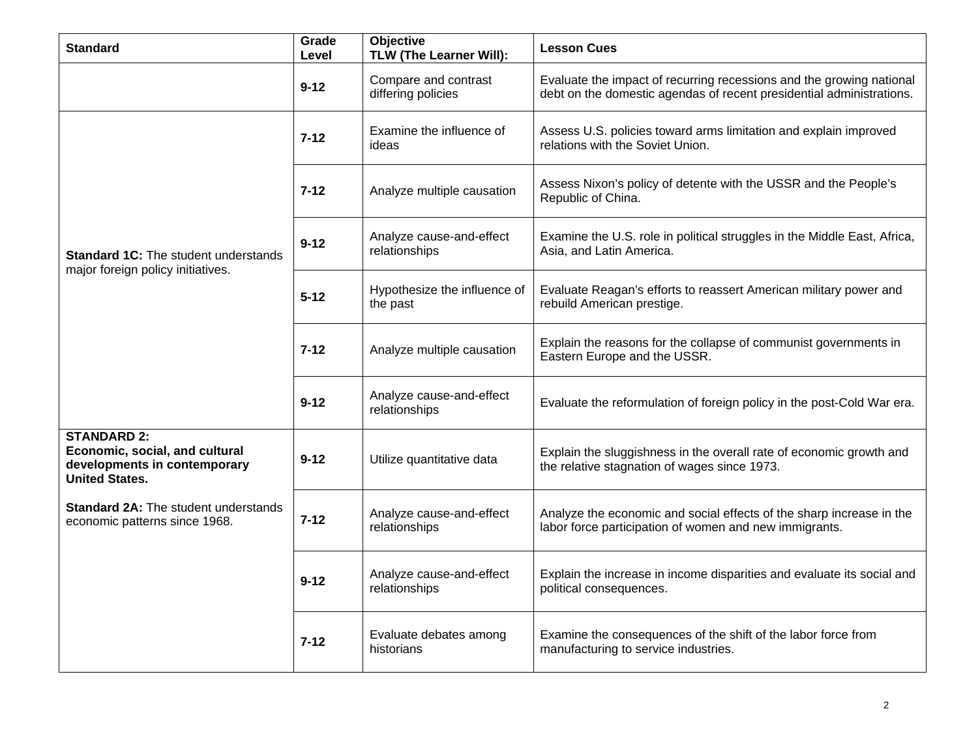| <b>Standard</b>                                                                                               | Grade<br>Level | <b>Objective</b><br>TLW (The Learner Will): | <b>Lesson Cues</b>                                                                                                                           |
|---------------------------------------------------------------------------------------------------------------|----------------|---------------------------------------------|----------------------------------------------------------------------------------------------------------------------------------------------|
|                                                                                                               | $9 - 12$       | Compare and contrast<br>differing policies  | Evaluate the impact of recurring recessions and the growing national<br>debt on the domestic agendas of recent presidential administrations. |
| <b>Standard 1C:</b> The student understands<br>major foreign policy initiatives.                              | $7 - 12$       | Examine the influence of<br>ideas           | Assess U.S. policies toward arms limitation and explain improved<br>relations with the Soviet Union.                                         |
|                                                                                                               | $7 - 12$       | Analyze multiple causation                  | Assess Nixon's policy of detente with the USSR and the People's<br>Republic of China.                                                        |
|                                                                                                               | $9 - 12$       | Analyze cause-and-effect<br>relationships   | Examine the U.S. role in political struggles in the Middle East, Africa,<br>Asia, and Latin America.                                         |
|                                                                                                               | $5 - 12$       | Hypothesize the influence of<br>the past    | Evaluate Reagan's efforts to reassert American military power and<br>rebuild American prestige.                                              |
|                                                                                                               | $7 - 12$       | Analyze multiple causation                  | Explain the reasons for the collapse of communist governments in<br>Eastern Europe and the USSR.                                             |
|                                                                                                               | $9 - 12$       | Analyze cause-and-effect<br>relationships   | Evaluate the reformulation of foreign policy in the post-Cold War era.                                                                       |
| <b>STANDARD 2:</b><br>Economic, social, and cultural<br>developments in contemporary<br><b>United States.</b> | $9 - 12$       | Utilize quantitative data                   | Explain the sluggishness in the overall rate of economic growth and<br>the relative stagnation of wages since 1973.                          |
| <b>Standard 2A: The student understands</b><br>economic patterns since 1968.                                  | $7 - 12$       | Analyze cause-and-effect<br>relationships   | Analyze the economic and social effects of the sharp increase in the<br>labor force participation of women and new immigrants.               |
|                                                                                                               | $9 - 12$       | Analyze cause-and-effect<br>relationships   | Explain the increase in income disparities and evaluate its social and<br>political consequences.                                            |
|                                                                                                               | $7 - 12$       | Evaluate debates among<br>historians        | Examine the consequences of the shift of the labor force from<br>manufacturing to service industries.                                        |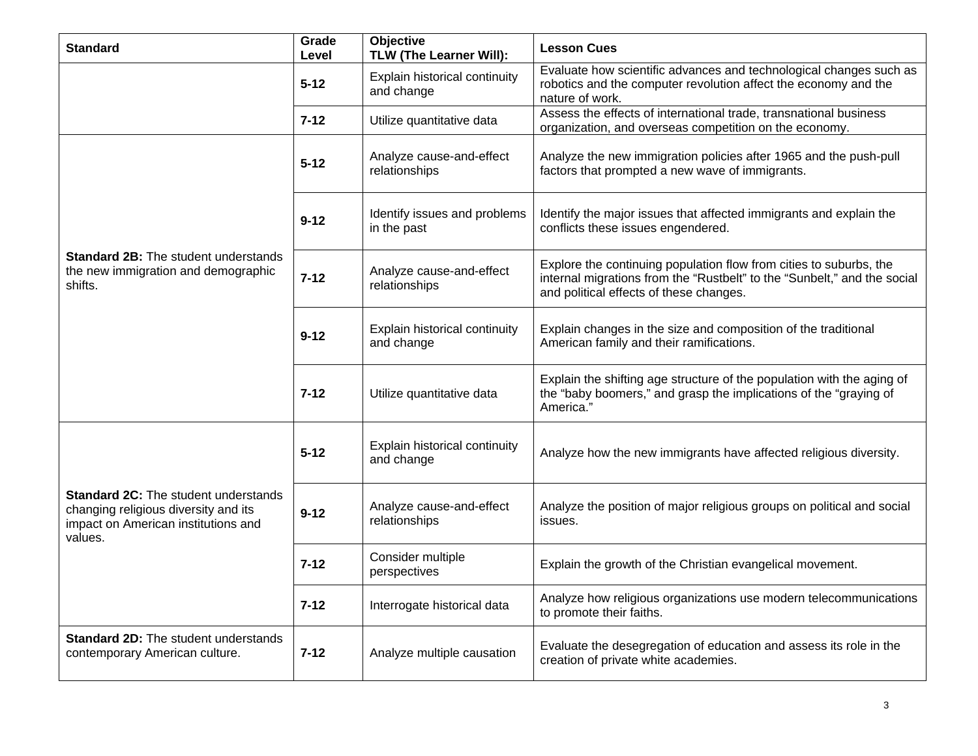| <b>Standard</b>                                                                                                                       | Grade<br>Level | Objective<br><b>TLW (The Learner Will):</b> | <b>Lesson Cues</b>                                                                                                                                                                        |
|---------------------------------------------------------------------------------------------------------------------------------------|----------------|---------------------------------------------|-------------------------------------------------------------------------------------------------------------------------------------------------------------------------------------------|
|                                                                                                                                       | $5 - 12$       | Explain historical continuity<br>and change | Evaluate how scientific advances and technological changes such as<br>robotics and the computer revolution affect the economy and the<br>nature of work.                                  |
|                                                                                                                                       | $7 - 12$       | Utilize quantitative data                   | Assess the effects of international trade, transnational business<br>organization, and overseas competition on the economy.                                                               |
| <b>Standard 2B:</b> The student understands<br>the new immigration and demographic<br>shifts.                                         | $5 - 12$       | Analyze cause-and-effect<br>relationships   | Analyze the new immigration policies after 1965 and the push-pull<br>factors that prompted a new wave of immigrants.                                                                      |
|                                                                                                                                       | $9 - 12$       | Identify issues and problems<br>in the past | Identify the major issues that affected immigrants and explain the<br>conflicts these issues engendered.                                                                                  |
|                                                                                                                                       | $7 - 12$       | Analyze cause-and-effect<br>relationships   | Explore the continuing population flow from cities to suburbs, the<br>internal migrations from the "Rustbelt" to the "Sunbelt," and the social<br>and political effects of these changes. |
|                                                                                                                                       | $9 - 12$       | Explain historical continuity<br>and change | Explain changes in the size and composition of the traditional<br>American family and their ramifications.                                                                                |
|                                                                                                                                       | $7 - 12$       | Utilize quantitative data                   | Explain the shifting age structure of the population with the aging of<br>the "baby boomers," and grasp the implications of the "graying of<br>America."                                  |
| <b>Standard 2C:</b> The student understands<br>changing religious diversity and its<br>impact on American institutions and<br>values. | $5 - 12$       | Explain historical continuity<br>and change | Analyze how the new immigrants have affected religious diversity.                                                                                                                         |
|                                                                                                                                       | $9 - 12$       | Analyze cause-and-effect<br>relationships   | Analyze the position of major religious groups on political and social<br>issues.                                                                                                         |
|                                                                                                                                       | $7 - 12$       | Consider multiple<br>perspectives           | Explain the growth of the Christian evangelical movement.                                                                                                                                 |
|                                                                                                                                       | $7 - 12$       | Interrogate historical data                 | Analyze how religious organizations use modern telecommunications<br>to promote their faiths.                                                                                             |
| <b>Standard 2D:</b> The student understands<br>contemporary American culture.                                                         | $7 - 12$       | Analyze multiple causation                  | Evaluate the desegregation of education and assess its role in the<br>creation of private white academies.                                                                                |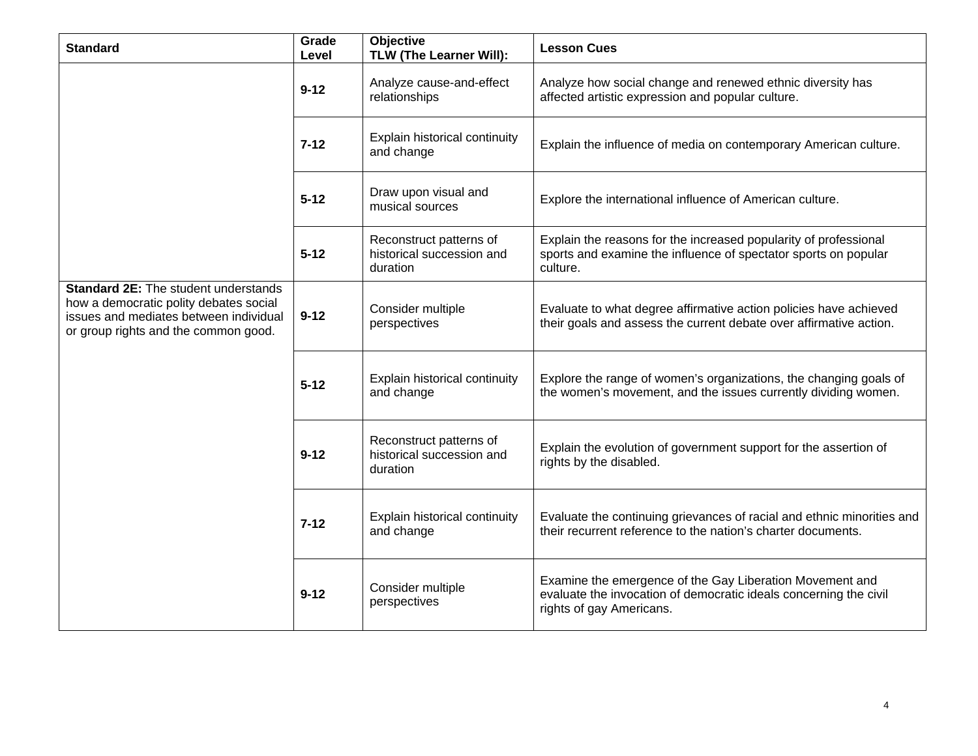| <b>Standard</b>                                                                                                                                                         | Grade<br>Level | Objective<br>TLW (The Learner Will):                             | <b>Lesson Cues</b>                                                                                                                                        |
|-------------------------------------------------------------------------------------------------------------------------------------------------------------------------|----------------|------------------------------------------------------------------|-----------------------------------------------------------------------------------------------------------------------------------------------------------|
|                                                                                                                                                                         | $9 - 12$       | Analyze cause-and-effect<br>relationships                        | Analyze how social change and renewed ethnic diversity has<br>affected artistic expression and popular culture.                                           |
|                                                                                                                                                                         | $7 - 12$       | Explain historical continuity<br>and change                      | Explain the influence of media on contemporary American culture.                                                                                          |
|                                                                                                                                                                         | $5 - 12$       | Draw upon visual and<br>musical sources                          | Explore the international influence of American culture.                                                                                                  |
|                                                                                                                                                                         | $5 - 12$       | Reconstruct patterns of<br>historical succession and<br>duration | Explain the reasons for the increased popularity of professional<br>sports and examine the influence of spectator sports on popular<br>culture.           |
| <b>Standard 2E:</b> The student understands<br>how a democratic polity debates social<br>issues and mediates between individual<br>or group rights and the common good. | $9 - 12$       | Consider multiple<br>perspectives                                | Evaluate to what degree affirmative action policies have achieved<br>their goals and assess the current debate over affirmative action.                   |
|                                                                                                                                                                         | $5 - 12$       | Explain historical continuity<br>and change                      | Explore the range of women's organizations, the changing goals of<br>the women's movement, and the issues currently dividing women.                       |
|                                                                                                                                                                         | $9 - 12$       | Reconstruct patterns of<br>historical succession and<br>duration | Explain the evolution of government support for the assertion of<br>rights by the disabled.                                                               |
|                                                                                                                                                                         | $7 - 12$       | Explain historical continuity<br>and change                      | Evaluate the continuing grievances of racial and ethnic minorities and<br>their recurrent reference to the nation's charter documents.                    |
|                                                                                                                                                                         | $9 - 12$       | Consider multiple<br>perspectives                                | Examine the emergence of the Gay Liberation Movement and<br>evaluate the invocation of democratic ideals concerning the civil<br>rights of gay Americans. |